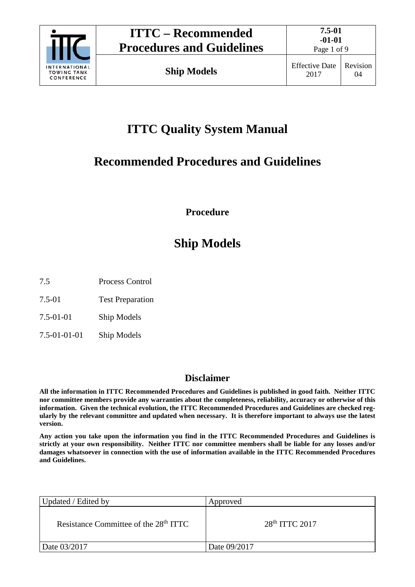

Page 1 of 9

# **ITTC Quality System Manual**

# **Recommended Procedures and Guidelines**

**Procedure**

# **Ship Models**

- 7.5 Process Control
- 7.5-01 Test Preparation
- 7.5-01-01 Ship Models
- 7.5-01-01-01 Ship Models

# **Disclaimer**

**All the information in ITTC Recommended Procedures and Guidelines is published in good faith. Neither ITTC nor committee members provide any warranties about the completeness, reliability, accuracy or otherwise of this information. Given the technical evolution, the ITTC Recommended Procedures and Guidelines are checked regularly by the relevant committee and updated when necessary. It is therefore important to always use the latest version.**

**Any action you take upon the information you find in the ITTC Recommended Procedures and Guidelines is strictly at your own responsibility. Neither ITTC nor committee members shall be liable for any losses and/or damages whatsoever in connection with the use of information available in the ITTC Recommended Procedures and Guidelines.**

| Updated / Edited by                               | Approved         |
|---------------------------------------------------|------------------|
| Resistance Committee of the 28 <sup>th</sup> ITTC | $28th$ ITTC 2017 |
| Date 03/2017                                      | Date 09/2017     |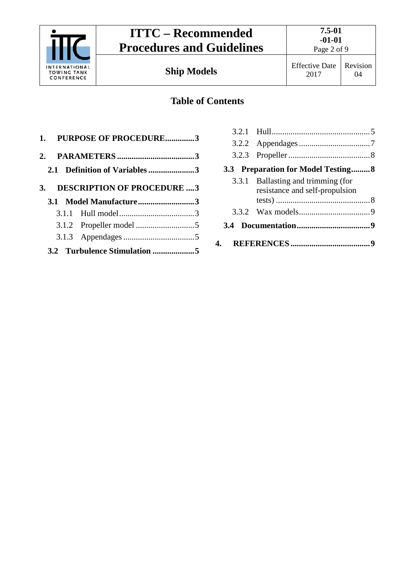

Page 2 of 9

# **Table of Contents**

|  | 1. PURPOSE OF PROCEDURE3      |  |
|--|-------------------------------|--|
|  |                               |  |
|  | 2.1 Definition of Variables 3 |  |
|  | 3. DESCRIPTION OF PROCEDURE 3 |  |
|  | 3.1 Model Manufacture3        |  |
|  |                               |  |
|  |                               |  |
|  |                               |  |
|  |                               |  |

|     | 3.3 Preparation for Model Testing 8                                  |  |
|-----|----------------------------------------------------------------------|--|
|     | 3.3.1 Ballasting and trimming (for<br>resistance and self-propulsion |  |
|     |                                                                      |  |
| 3.4 |                                                                      |  |
|     |                                                                      |  |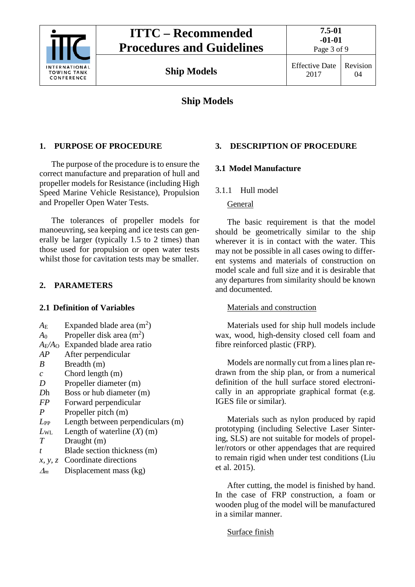

# **Ship Models**

### <span id="page-2-0"></span>**1. PURPOSE OF PROCEDURE**

The purpose of the procedure is to ensure the correct manufacture and preparation of hull and propeller models for Resistance (including High Speed Marine Vehicle Resistance), Propulsion and Propeller Open Water Tests.

The tolerances of propeller models for manoeuvring, sea keeping and ice tests can generally be larger (typically 1.5 to 2 times) than those used for propulsion or open water tests whilst those for cavitation tests may be smaller.

### <span id="page-2-2"></span><span id="page-2-1"></span>**2. PARAMETERS**

#### **2.1 Definition of Variables**

- $A_{\rm E}$  Expanded blade area (m<sup>2</sup>)
- $A_0$  Propeller disk area (m<sup>2</sup>)
- *A*E*/A*<sup>O</sup> Expanded blade area ratio
- *AP* After perpendicular
- *B* Breadth (m)
- *c* Chord length (m)
- *D* Propeller diameter (m)
- *Dh* Boss or hub diameter (m)
- *FP* Forward perpendicular
- *P* Propeller pitch (m)
- *L*<sub>PP</sub> Length between perpendiculars (m)
- $L_{\text{WL}}$  Length of waterline  $(X)$  (m)
- *T* Draught (m)
- *t* Blade section thickness (m)
- *x, y, z* Coordinate directions
- <sup>∆</sup>*<sup>m</sup>* Displacement mass (kg)

### <span id="page-2-4"></span><span id="page-2-3"></span>**3. DESCRIPTION OF PROCEDURE**

### <span id="page-2-5"></span>**3.1 Model Manufacture**

3.1.1 Hull model

#### General

The basic requirement is that the model should be geometrically similar to the ship wherever it is in contact with the water. This may not be possible in all cases owing to different systems and materials of construction on model scale and full size and it is desirable that any departures from similarity should be known and documented.

#### Materials and construction

Materials used for ship hull models include wax, wood, high-density closed cell foam and fibre reinforced plastic (FRP).

Models are normally cut from a lines plan redrawn from the ship plan, or from a numerical definition of the hull surface stored electronically in an appropriate graphical format (e.g. IGES file or similar).

Materials such as nylon produced by rapid prototyping (including Selective Laser Sintering, SLS) are not suitable for models of propeller/rotors or other appendages that are required to remain rigid when under test conditions (Liu et al. 2015).

After cutting, the model is finished by hand. In the case of FRP construction, a foam or wooden plug of the model will be manufactured in a similar manner.

#### Surface finish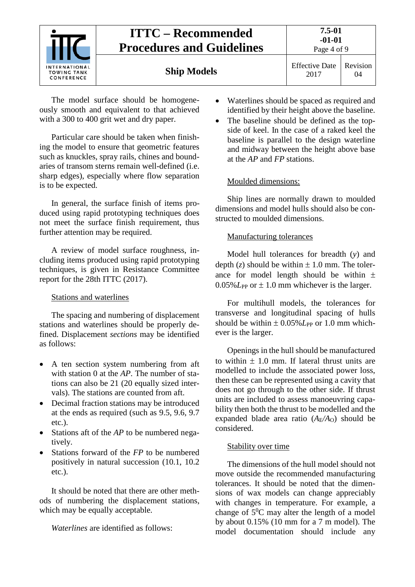

The model surface should be homogeneously smooth and equivalent to that achieved with a 300 to 400 grit wet and dry paper.

Particular care should be taken when finishing the model to ensure that geometric features such as knuckles, spray rails, chines and boundaries of transom sterns remain well-defined (i.e. sharp edges), especially where flow separation is to be expected.

In general, the surface finish of items produced using rapid prototyping techniques does not meet the surface finish requirement, thus further attention may be required.

A review of model surface roughness, including items produced using rapid prototyping techniques, is given in Resistance Committee report for the 28th ITTC (2017).

# Stations and waterlines

The spacing and numbering of displacement stations and waterlines should be properly defined. Displacement *sections* may be identified as follows:

- A ten section system numbering from aft with station 0 at the *AP*. The number of stations can also be 21 (20 equally sized intervals). The stations are counted from aft.
- Decimal fraction stations may be introduced at the ends as required (such as 9.5, 9.6, 9.7 etc.).
- Stations aft of the *AP* to be numbered negatively.
- Stations forward of the *FP* to be numbered positively in natural succession (10.1, 10.2 etc.).

It should be noted that there are other methods of numbering the displacement stations, which may be equally acceptable.

*Waterlines* are identified as follows:

- Waterlines should be spaced as required and identified by their height above the baseline.
- The baseline should be defined as the topside of keel. In the case of a raked keel the baseline is parallel to the design waterline and midway between the height above base at the *AP* and *FP* stations.

# Moulded dimensions:

Ship lines are normally drawn to moulded dimensions and model hulls should also be constructed to moulded dimensions.

# Manufacturing tolerances

Model hull tolerances for breadth (*y*) and depth  $(z)$  should be within  $\pm 1.0$  mm. The tolerance for model length should be within  $\pm$  $0.05\%$ *L*<sub>PP</sub> or  $\pm$  1.0 mm whichever is the larger.

For multihull models, the tolerances for transverse and longitudinal spacing of hulls should be within  $\pm 0.05\%$  *L*<sub>PP</sub> or 1.0 mm whichever is the larger.

Openings in the hull should be manufactured to within  $\pm$  1.0 mm. If lateral thrust units are modelled to include the associated power loss, then these can be represented using a cavity that does not go through to the other side. If thrust units are included to assess manoeuvring capability then both the thrust to be modelled and the expanded blade area ratio  $(A_F/A_O)$  should be considered.

# Stability over time

The dimensions of the hull model should not move outside the recommended manufacturing tolerances. It should be noted that the dimensions of wax models can change appreciably with changes in temperature. For example, a change of  $5^0C$  may alter the length of a model by about 0.15% (10 mm for a 7 m model). The model documentation should include any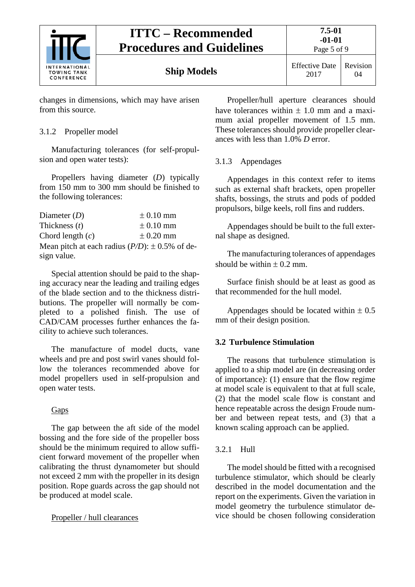

Page 5 of 9

changes in dimensions, which may have arisen from this source.

### <span id="page-4-0"></span>3.1.2 Propeller model

Manufacturing tolerances (for self-propulsion and open water tests):

Propellers having diameter (*D*) typically from 150 mm to 300 mm should be finished to the following tolerances:

| Diameter $(D)$     | $\pm$ 0.10 mm                                         |
|--------------------|-------------------------------------------------------|
| Thickness $(t)$    | $\pm$ 0.10 mm                                         |
| Chord length $(c)$ | $\pm$ 0.20 mm                                         |
|                    | Mean pitch at each radius $(P/D)$ : $\pm$ 0.5% of de- |
| sign value.        |                                                       |

Special attention should be paid to the shaping accuracy near the leading and trailing edges of the blade section and to the thickness distributions. The propeller will normally be completed to a polished finish. The use of CAD/CAM processes further enhances the facility to achieve such tolerances.

The manufacture of model ducts, vane wheels and pre and post swirl vanes should follow the tolerances recommended above for model propellers used in self-propulsion and open water tests.

### Gaps

The gap between the aft side of the model bossing and the fore side of the propeller boss should be the minimum required to allow sufficient forward movement of the propeller when calibrating the thrust dynamometer but should not exceed 2 mm with the propeller in its design position. Rope guards across the gap should not be produced at model scale.

### Propeller / hull clearances

Propeller/hull aperture clearances should have tolerances within  $\pm 1.0$  mm and a maximum axial propeller movement of 1.5 mm. These tolerances should provide propeller clearances with less than 1.0% *D* error.

### <span id="page-4-1"></span>3.1.3 Appendages

Appendages in this context refer to items such as external shaft brackets, open propeller shafts, bossings, the struts and pods of podded propulsors, bilge keels, roll fins and rudders.

Appendages should be built to the full external shape as designed.

The manufacturing tolerances of appendages should be within  $\pm$  0.2 mm.

Surface finish should be at least as good as that recommended for the hull model.

Appendages should be located within  $\pm 0.5$ mm of their design position.

### <span id="page-4-2"></span>**3.2 Turbulence Stimulation**

The reasons that turbulence stimulation is applied to a ship model are (in decreasing order of importance): (1) ensure that the flow regime at model scale is equivalent to that at full scale, (2) that the model scale flow is constant and hence repeatable across the design Froude number and between repeat tests, and (3) that a known scaling approach can be applied.

### <span id="page-4-3"></span>3.2.1 Hull

The model should be fitted with a recognised turbulence stimulator, which should be clearly described in the model documentation and the report on the experiments. Given the variation in model geometry the turbulence stimulator device should be chosen following consideration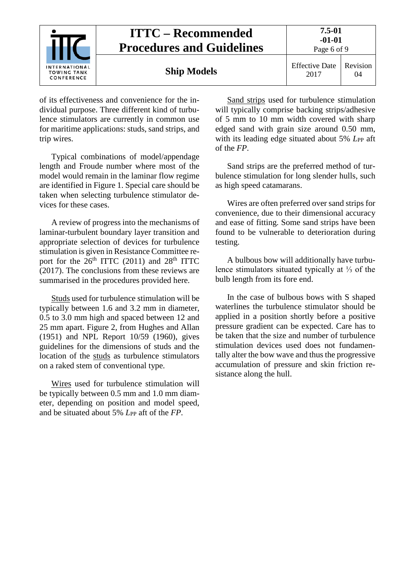

of its effectiveness and convenience for the individual purpose. Three different kind of turbulence stimulators are currently in common use for maritime applications: studs, sand strips, and trip wires.

Typical combinations of model/appendage length and Froude number where most of the model would remain in the laminar flow regime are identified in Figure 1. Special care should be taken when selecting turbulence stimulator devices for these cases.

A review of progress into the mechanisms of laminar-turbulent boundary layer transition and appropriate selection of devices for turbulence stimulation is given in Resistance Committee report for the  $26<sup>th</sup>$  ITTC (2011) and 28<sup>th</sup> ITTC (2017). The conclusions from these reviews are summarised in the procedures provided here.

Studs used for turbulence stimulation will be typically between 1.6 and 3.2 mm in diameter, 0.5 to 3.0 mm high and spaced between 12 and 25 mm apart. Figure 2, from Hughes and Allan (1951) and NPL Report 10/59 (1960), gives guidelines for the dimensions of studs and the location of the studs as turbulence stimulators on a raked stem of conventional type.

Wires used for turbulence stimulation will be typically between 0.5 mm and 1.0 mm diameter, depending on position and model speed, and be situated about 5% *L*<sub>PP</sub> aft of the *FP*.

Sand strips used for turbulence stimulation will typically comprise backing strips/adhesive of 5 mm to 10 mm width covered with sharp edged sand with grain size around 0.50 mm, with its leading edge situated about 5% *L*<sub>PP</sub> aft of the *FP*.

Sand strips are the preferred method of turbulence stimulation for long slender hulls, such as high speed catamarans.

Wires are often preferred over sand strips for convenience, due to their dimensional accuracy and ease of fitting. Some sand strips have been found to be vulnerable to deterioration during testing.

A bulbous bow will additionally have turbulence stimulators situated typically at ⅓ of the bulb length from its fore end.

In the case of bulbous bows with S shaped waterlines the turbulence stimulator should be applied in a position shortly before a positive pressure gradient can be expected. Care has to be taken that the size and number of turbulence stimulation devices used does not fundamentally alter the bow wave and thus the progressive accumulation of pressure and skin friction resistance along the hull.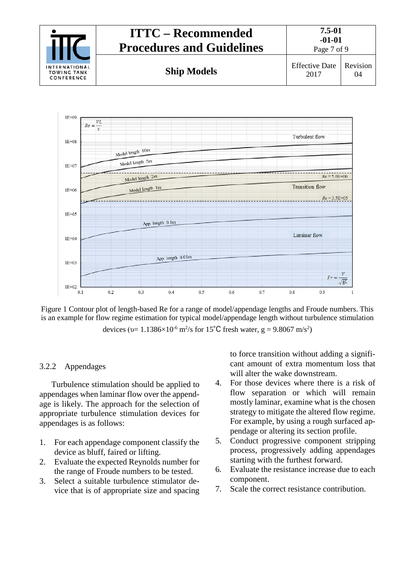



Figure 1 Contour plot of length-based Re for a range of model/appendage lengths and Froude numbers. This is an example for flow regime estimation for typical model/appendage length without turbulence stimulation devices ( $v = 1.1386 \times 10^{-6}$  m<sup>2</sup>/s for 15<sup>°</sup>C fresh water,  $g = 9.8067$  m/s<sup>2</sup>)

#### <span id="page-6-0"></span>3.2.2 Appendages

Turbulence stimulation should be applied to appendages when laminar flow over the appendage is likely. The approach for the selection of appropriate turbulence stimulation devices for appendages is as follows:

- 1. For each appendage component classify the device as bluff, faired or lifting.
- 2. Evaluate the expected Reynolds number for the range of Froude numbers to be tested.
- 3. Select a suitable turbulence stimulator device that is of appropriate size and spacing

to force transition without adding a significant amount of extra momentum loss that will alter the wake downstream.

- 4. For those devices where there is a risk of flow separation or which will remain mostly laminar, examine what is the chosen strategy to mitigate the altered flow regime. For example, by using a rough surfaced appendage or altering its section profile.
- 5. Conduct progressive component stripping process, progressively adding appendages starting with the furthest forward.
- 6. Evaluate the resistance increase due to each component.
- 7. Scale the correct resistance contribution.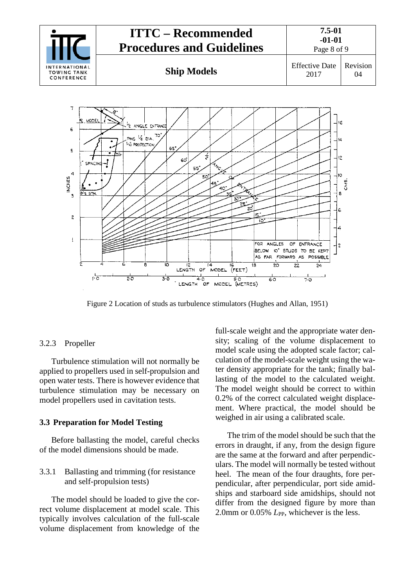



Figure 2 Location of studs as turbulence stimulators (Hughes and Allan, 1951)

### <span id="page-7-0"></span>3.2.3 Propeller

Turbulence stimulation will not normally be applied to propellers used in self-propulsion and open water tests. There is however evidence that turbulence stimulation may be necessary on model propellers used in cavitation tests.

#### <span id="page-7-1"></span>**3.3 Preparation for Model Testing**

Before ballasting the model, careful checks of the model dimensions should be made.

### <span id="page-7-2"></span>3.3.1 Ballasting and trimming (for resistance and self-propulsion tests)

The model should be loaded to give the correct volume displacement at model scale. This typically involves calculation of the full-scale volume displacement from knowledge of the

full-scale weight and the appropriate water density; scaling of the volume displacement to model scale using the adopted scale factor; calculation of the model-scale weight using the water density appropriate for the tank; finally ballasting of the model to the calculated weight. The model weight should be correct to within 0.2% of the correct calculated weight displacement. Where practical, the model should be weighed in air using a calibrated scale.

The trim of the model should be such that the errors in draught, if any, from the design figure are the same at the forward and after perpendiculars. The model will normally be tested without heel. The mean of the four draughts, fore perpendicular, after perpendicular, port side amidships and starboard side amidships, should not differ from the designed figure by more than 2.0mm or 0.05% *L*<sub>PP</sub>, whichever is the less.